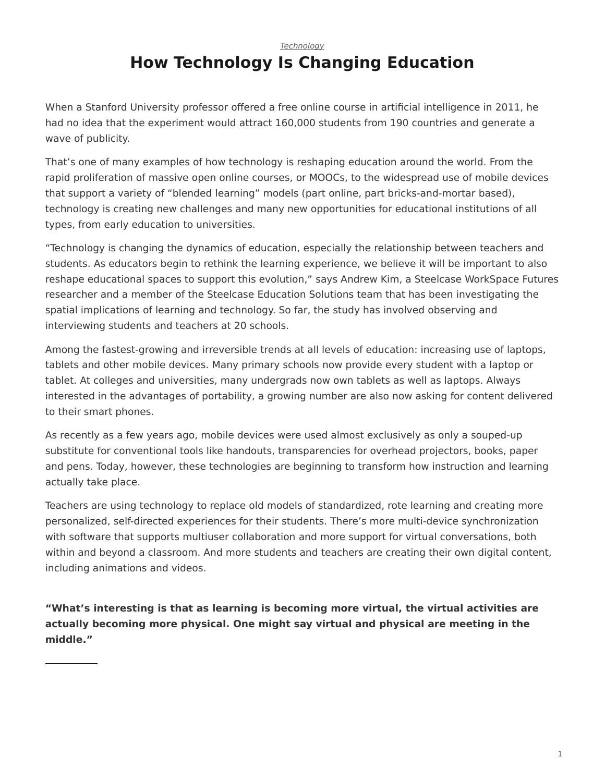#### *[Technology](https://www.steelcase.com/asia-en/research/topics/technology/)*

# **How Technology Is Changing Education**

When a Stanford University professor offered a free online course in artificial intelligence in 2011, he had no idea that the experiment would attract 160,000 students from 190 countries and generate a wave of publicity.

That's one of many examples of how technology is reshaping education around the world. From the rapid proliferation of massive open online courses, or MOOCs, to the widespread use of mobile devices that support a variety of "blended learning" models (part online, part bricks-and-mortar based), technology is creating new challenges and many new opportunities for educational institutions of all types, from early education to universities.

"Technology is changing the dynamics of education, especially the relationship between teachers and students. As educators begin to rethink the learning experience, we believe it will be important to also reshape educational spaces to support this evolution," says Andrew Kim, a Steelcase WorkSpace Futures researcher and a member of the Steelcase Education Solutions team that has been investigating the spatial implications of learning and technology. So far, the study has involved observing and interviewing students and teachers at 20 schools.

Among the fastest-growing and irreversible trends at all levels of education: increasing use of laptops, tablets and other mobile devices. Many primary schools now provide every student with a laptop or tablet. At colleges and universities, many undergrads now own tablets as well as laptops. Always interested in the advantages of portability, a growing number are also now asking for content delivered to their smart phones.

As recently as a few years ago, mobile devices were used almost exclusively as only a souped-up substitute for conventional tools like handouts, transparencies for overhead projectors, books, paper and pens. Today, however, these technologies are beginning to transform how instruction and learning actually take place.

Teachers are using technology to replace old models of standardized, rote learning and creating more personalized, self-directed experiences for their students. There's more multi-device synchronization with software that supports multiuser collaboration and more support for virtual conversations, both within and beyond a classroom. And more students and teachers are creating their own digital content, including animations and videos.

**"What's interesting is that as learning is becoming more virtual, the virtual activities are actually becoming more physical. One might say virtual and physical are meeting in the middle."**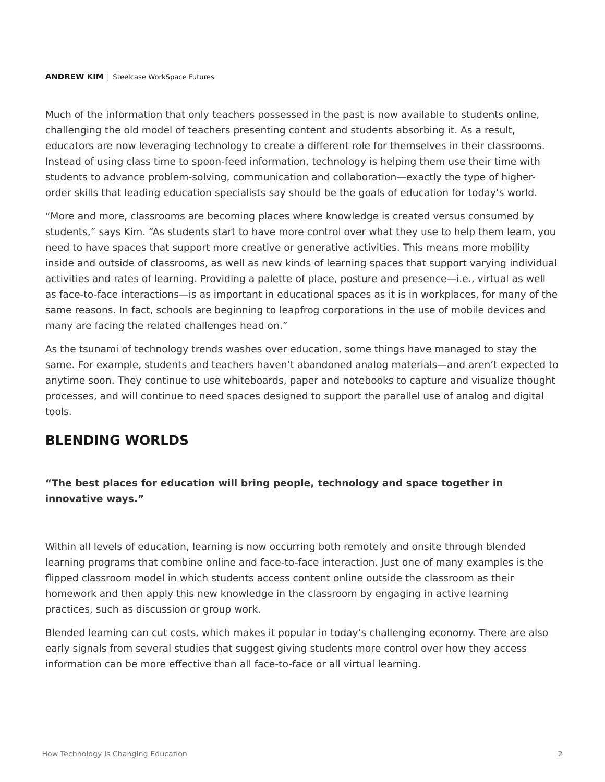#### **ANDREW KIM** | Steelcase WorkSpace Futures

Much of the information that only teachers possessed in the past is now available to students online, challenging the old model of teachers presenting content and students absorbing it. As a result, educators are now leveraging technology to create a different role for themselves in their classrooms. Instead of using class time to spoon-feed information, technology is helping them use their time with students to advance problem-solving, communication and collaboration—exactly the type of higherorder skills that leading education specialists say should be the goals of education for today's world.

"More and more, classrooms are becoming places where knowledge is created versus consumed by students," says Kim. "As students start to have more control over what they use to help them learn, you need to have spaces that support more creative or generative activities. This means more mobility inside and outside of classrooms, as well as new kinds of learning spaces that support varying individual activities and rates of learning. Providing a palette of place, posture and presence—i.e., virtual as well as face-to-face interactions—is as important in educational spaces as it is in workplaces, for many of the same reasons. In fact, schools are beginning to leapfrog corporations in the use of mobile devices and many are facing the related challenges head on."

As the tsunami of technology trends washes over education, some things have managed to stay the same. For example, students and teachers haven't abandoned analog materials—and aren't expected to anytime soon. They continue to use whiteboards, paper and notebooks to capture and visualize thought processes, and will continue to need spaces designed to support the parallel use of analog and digital tools.

### **BLENDING WORLDS**

### **"The best places for education will bring people, technology and space together in innovative ways."**

Within all levels of education, learning is now occurring both remotely and onsite through blended learning programs that combine online and face-to-face interaction. Just one of many examples is the flipped classroom model in which students access content online outside the classroom as their homework and then apply this new knowledge in the classroom by engaging in active learning practices, such as discussion or group work.

Blended learning can cut costs, which makes it popular in today's challenging economy. There are also early signals from several studies that suggest giving students more control over how they access information can be more effective than all face-to-face or all virtual learning.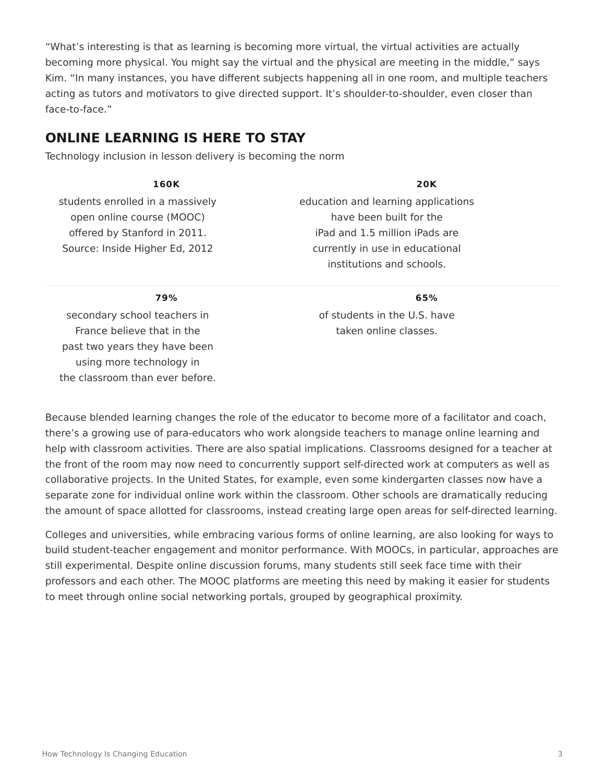"What's interesting is that as learning is becoming more virtual, the virtual activities are actually becoming more physical. You might say the virtual and the physical are meeting in the middle," says Kim. "In many instances, you have different subjects happening all in one room, and multiple teachers acting as tutors and motivators to give directed support. It's shoulder-to-shoulder, even closer than face-to-face."

### **ONLINE LEARNING IS HERE TO STAY**

Technology inclusion in lesson delivery is becoming the norm

#### **160K**

students enrolled in a massively open online course (MOOC) offered by Stanford in 2011. Source: Inside Higher Ed, 2012

#### **20K**

education and learning applications have been built for the iPad and 1.5 million iPads are currently in use in educational institutions and schools.

### **79%**

secondary school teachers in France believe that in the past two years they have been using more technology in the classroom than ever before.

#### **65%**

of students in the U.S. have taken online classes.

Because blended learning changes the role of the educator to become more of a facilitator and coach, there's a growing use of para-educators who work alongside teachers to manage online learning and help with classroom activities. There are also spatial implications. Classrooms designed for a teacher at the front of the room may now need to concurrently support self-directed work at computers as well as collaborative projects. In the United States, for example, even some kindergarten classes now have a separate zone for individual online work within the classroom. Other schools are dramatically reducing the amount of space allotted for classrooms, instead creating large open areas for self-directed learning.

Colleges and universities, while embracing various forms of online learning, are also looking for ways to build student-teacher engagement and monitor performance. With MOOCs, in particular, approaches are still experimental. Despite online discussion forums, many students still seek face time with their professors and each other. The MOOC platforms are meeting this need by making it easier for students to meet through online social networking portals, grouped by geographical proximity.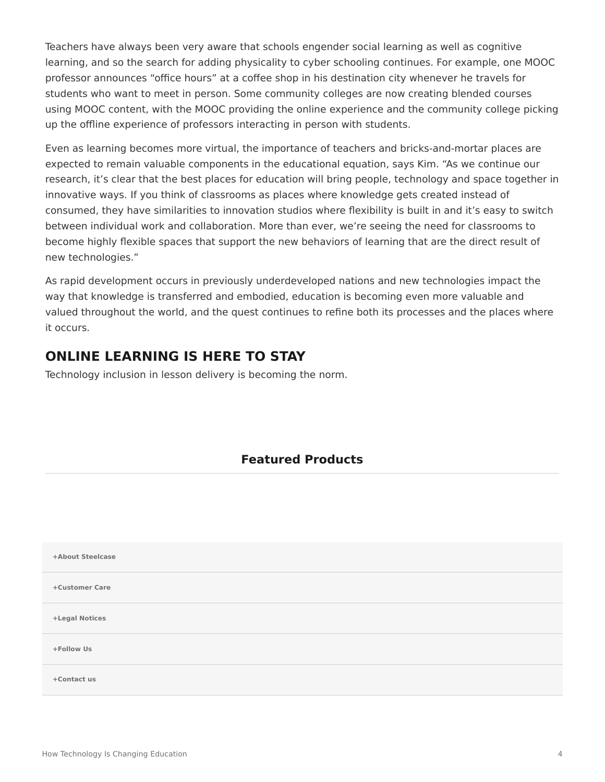Teachers have always been very aware that schools engender social learning as well as cognitive learning, and so the search for adding physicality to cyber schooling continues. For example, one MOOC professor announces "office hours" at a coffee shop in his destination city whenever he travels for students who want to meet in person. Some community colleges are now creating blended courses using MOOC content, with the MOOC providing the online experience and the community college picking up the offline experience of professors interacting in person with students.

Even as learning becomes more virtual, the importance of teachers and bricks-and-mortar places are expected to remain valuable components in the educational equation, says Kim. "As we continue our research, it's clear that the best places for education will bring people, technology and space together in innovative ways. If you think of classrooms as places where knowledge gets created instead of consumed, they have similarities to innovation studios where flexibility is built in and it's easy to switch between individual work and collaboration. More than ever, we're seeing the need for classrooms to become highly flexible spaces that support the new behaviors of learning that are the direct result of new technologies."

As rapid development occurs in previously underdeveloped nations and new technologies impact the way that knowledge is transferred and embodied, education is becoming even more valuable and valued throughout the world, and the quest continues to refine both its processes and the places where it occurs.

# **ONLINE LEARNING IS HERE TO STAY**

Technology inclusion in lesson delivery is becoming the norm.

## **Featured Products**